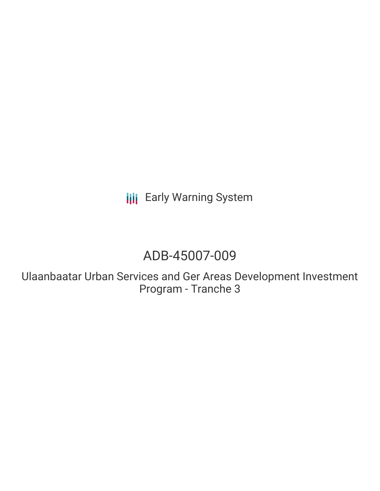**III** Early Warning System

# ADB-45007-009

Ulaanbaatar Urban Services and Ger Areas Development Investment Program - Tranche 3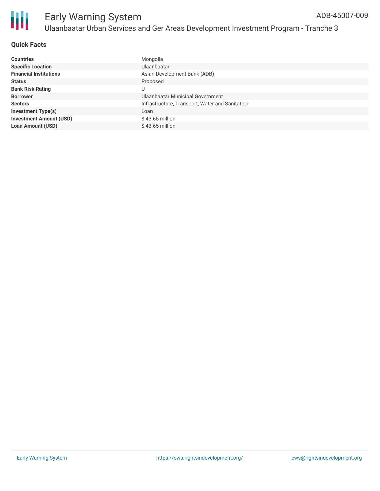

### **Quick Facts**

| <b>Countries</b>               | Mongolia                                        |
|--------------------------------|-------------------------------------------------|
| <b>Specific Location</b>       | <b>Ulaanbaatar</b>                              |
| <b>Financial Institutions</b>  | Asian Development Bank (ADB)                    |
| <b>Status</b>                  | Proposed                                        |
| <b>Bank Risk Rating</b>        |                                                 |
| <b>Borrower</b>                | Ulaanbaatar Municipal Government                |
| <b>Sectors</b>                 | Infrastructure, Transport, Water and Sanitation |
| <b>Investment Type(s)</b>      | Loan                                            |
| <b>Investment Amount (USD)</b> | $$43.65$ million                                |
| <b>Loan Amount (USD)</b>       | $$43.65$ million                                |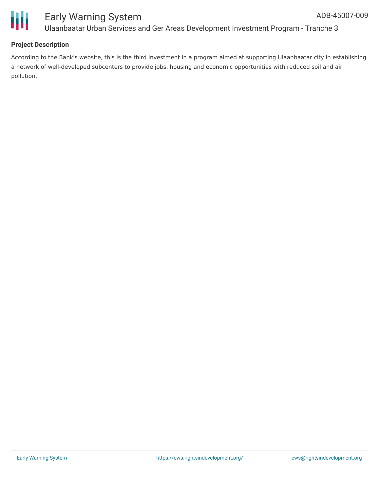

## **Project Description**

According to the Bank's website, this is the third investment in a program aimed at supporting Ulaanbaatar city in establishing a network of well-developed subcenters to provide jobs, housing and economic opportunities with reduced soil and air pollution.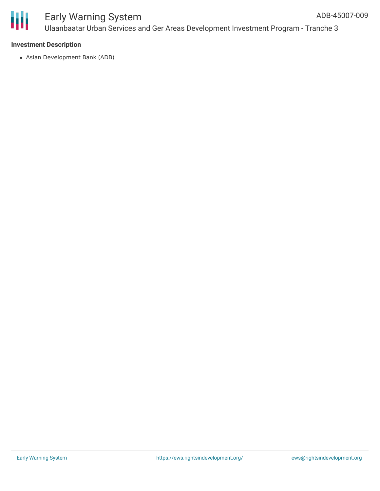

#### **Investment Description**

Asian Development Bank (ADB)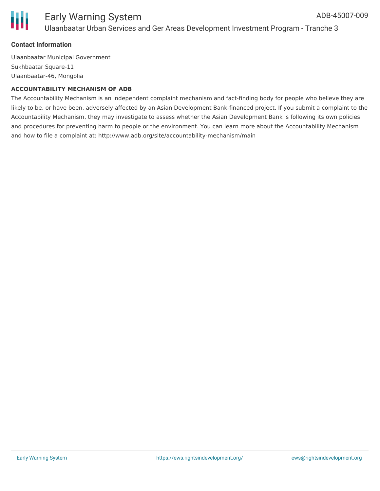

#### **Contact Information**

Ulaanbaatar Municipal Government Sukhbaatar Square-11 Ulaanbaatar-46, Mongolia

#### **ACCOUNTABILITY MECHANISM OF ADB**

The Accountability Mechanism is an independent complaint mechanism and fact-finding body for people who believe they are likely to be, or have been, adversely affected by an Asian Development Bank-financed project. If you submit a complaint to the Accountability Mechanism, they may investigate to assess whether the Asian Development Bank is following its own policies and procedures for preventing harm to people or the environment. You can learn more about the Accountability Mechanism and how to file a complaint at: http://www.adb.org/site/accountability-mechanism/main